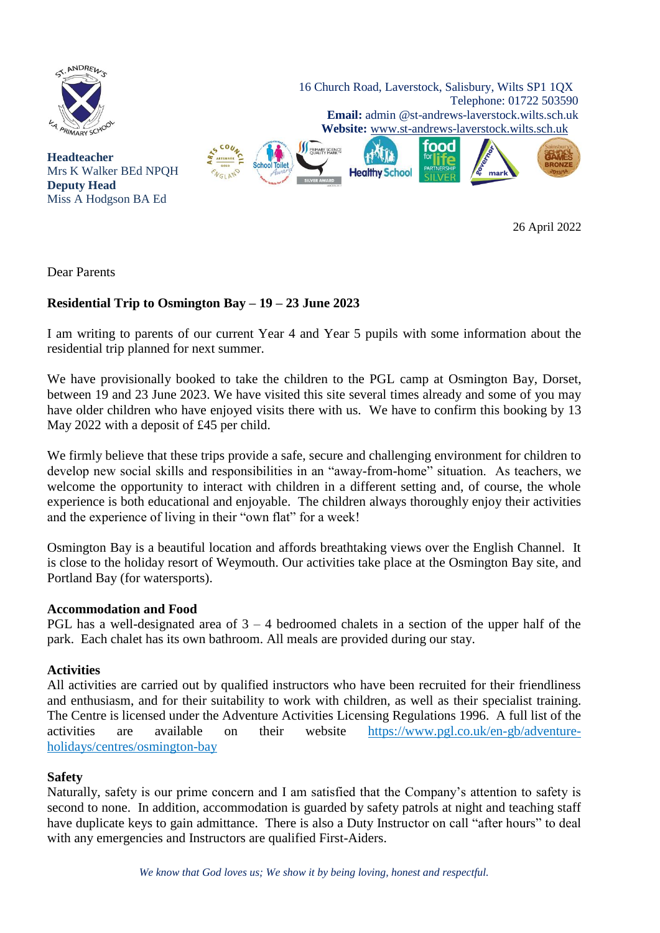

26 April 2022

Dear Parents

# **Residential Trip to Osmington Bay – 19 – 23 June 2023**

I am writing to parents of our current Year 4 and Year 5 pupils with some information about the residential trip planned for next summer.

We have provisionally booked to take the children to the PGL camp at Osmington Bay, Dorset, between 19 and 23 June 2023. We have visited this site several times already and some of you may have older children who have enjoyed visits there with us. We have to confirm this booking by 13 May 2022 with a deposit of £45 per child.

We firmly believe that these trips provide a safe, secure and challenging environment for children to develop new social skills and responsibilities in an "away-from-home" situation. As teachers, we welcome the opportunity to interact with children in a different setting and, of course, the whole experience is both educational and enjoyable. The children always thoroughly enjoy their activities and the experience of living in their "own flat" for a week!

Osmington Bay is a beautiful location and affords breathtaking views over the English Channel. It is close to the holiday resort of Weymouth. Our activities take place at the Osmington Bay site, and Portland Bay (for watersports).

# **Accommodation and Food**

PGL has a well-designated area of  $3 - 4$  bedroomed chalets in a section of the upper half of the park. Each chalet has its own bathroom. All meals are provided during our stay.

# **Activities**

All activities are carried out by qualified instructors who have been recruited for their friendliness and enthusiasm, and for their suitability to work with children, as well as their specialist training. The Centre is licensed under the Adventure Activities Licensing Regulations 1996. A full list of the activities are available on their website https://www.pgl.co.uk/en-gb/adventureholidays/centres/osmington-bay

# **Safety**

Naturally, safety is our prime concern and I am satisfied that the Company's attention to safety is second to none. In addition, accommodation is guarded by safety patrols at night and teaching staff have duplicate keys to gain admittance. There is also a Duty Instructor on call "after hours" to deal with any emergencies and Instructors are qualified First-Aiders.